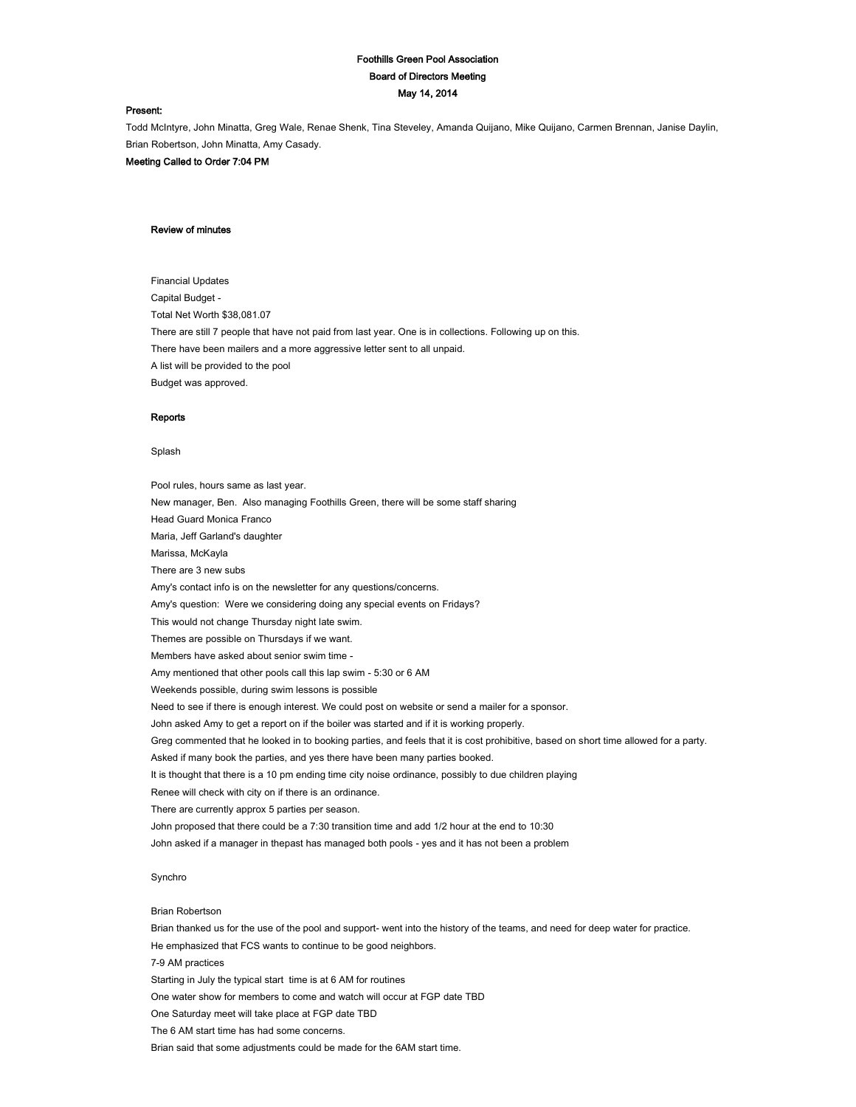# Foothills Green Pool Association Board of Directors Meeting May 14, 2014

#### Present:

Todd McIntyre, John Minatta, Greg Wale, Renae Shenk, Tina Steveley, Amanda Quijano, Mike Quijano, Carmen Brennan, Janise Daylin, Brian Robertson, John Minatta, Amy Casady.

Meeting Called to Order 7:04 PM

# Review of minutes

Financial Updates Capital Budget - Total Net Worth \$38,081.07 There are still 7 people that have not paid from last year. One is in collections. Following up on this. There have been mailers and a more aggressive letter sent to all unpaid. A list will be provided to the pool Budget was approved.

#### **Reports**

# Splash

Pool rules, hours same as last year. New manager, Ben. Also managing Foothills Green, there will be some staff sharing Head Guard Monica Franco Maria, Jeff Garland's daughter Marissa, McKayla There are 3 new subs Amy's contact info is on the newsletter for any questions/concerns. Amy's question: Were we considering doing any special events on Fridays? This would not change Thursday night late swim. Themes are possible on Thursdays if we want. Members have asked about senior swim time - Amy mentioned that other pools call this lap swim - 5:30 or 6 AM Weekends possible, during swim lessons is possible Need to see if there is enough interest. We could post on website or send a mailer for a sponsor. John asked Amy to get a report on if the boiler was started and if it is working properly. Greg commented that he looked in to booking parties, and feels that it is cost prohibitive, based on short time allowed for a party. Asked if many book the parties, and yes there have been many parties booked. It is thought that there is a 10 pm ending time city noise ordinance, possibly to due children playing Renee will check with city on if there is an ordinance. There are currently approx 5 parties per season. John proposed that there could be a 7:30 transition time and add 1/2 hour at the end to 10:30 John asked if a manager in thepast has managed both pools - yes and it has not been a problem

# Synchro

#### Brian Robertson

Brian thanked us for the use of the pool and support- went into the history of the teams, and need for deep water for practice. He emphasized that FCS wants to continue to be good neighbors. 7-9 AM practices Starting in July the typical start time is at 6 AM for routines One water show for members to come and watch will occur at FGP date TBD One Saturday meet will take place at FGP date TBD The 6 AM start time has had some concerns. Brian said that some adjustments could be made for the 6AM start time.